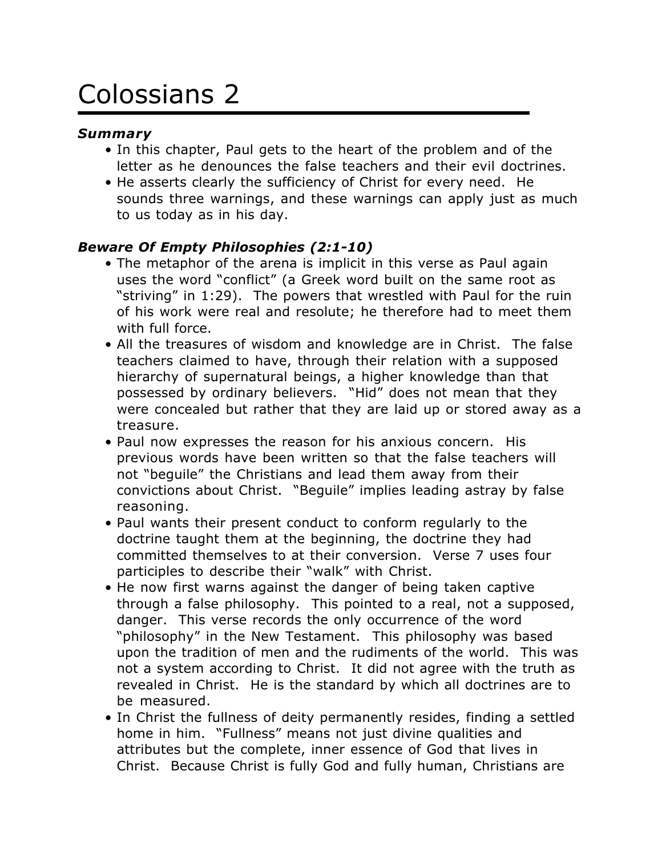# Colossians 2

# *Summary*

- In this chapter, Paul gets to the heart of the problem and of the letter as he denounces the false teachers and their evil doctrines.
- He asserts clearly the sufficiency of Christ for every need. He sounds three warnings, and these warnings can apply just as much to us today as in his day.

# *Beware Of Empty Philosophies (2:1-10)*

- The metaphor of the arena is implicit in this verse as Paul again uses the word "conflict" (a Greek word built on the same root as "striving" in 1:29). The powers that wrestled with Paul for the ruin of his work were real and resolute; he therefore had to meet them with full force.
- All the treasures of wisdom and knowledge are in Christ. The false teachers claimed to have, through their relation with a supposed hierarchy of supernatural beings, a higher knowledge than that possessed by ordinary believers. "Hid" does not mean that they were concealed but rather that they are laid up or stored away as a treasure.
- Paul now expresses the reason for his anxious concern. His previous words have been written so that the false teachers will not "beguile" the Christians and lead them away from their convictions about Christ. "Beguile" implies leading astray by false reasoning.
- Paul wants their present conduct to conform regularly to the doctrine taught them at the beginning, the doctrine they had committed themselves to at their conversion. Verse 7 uses four participles to describe their "walk" with Christ.
- He now first warns against the danger of being taken captive through a false philosophy. This pointed to a real, not a supposed, danger. This verse records the only occurrence of the word "philosophy" in the New Testament. This philosophy was based upon the tradition of men and the rudiments of the world. This was not a system according to Christ. It did not agree with the truth as revealed in Christ. He is the standard by which all doctrines are to be measured.
- In Christ the fullness of deity permanently resides, finding a settled home in him. "Fullness" means not just divine qualities and attributes but the complete, inner essence of God that lives in Christ. Because Christ is fully God and fully human, Christians are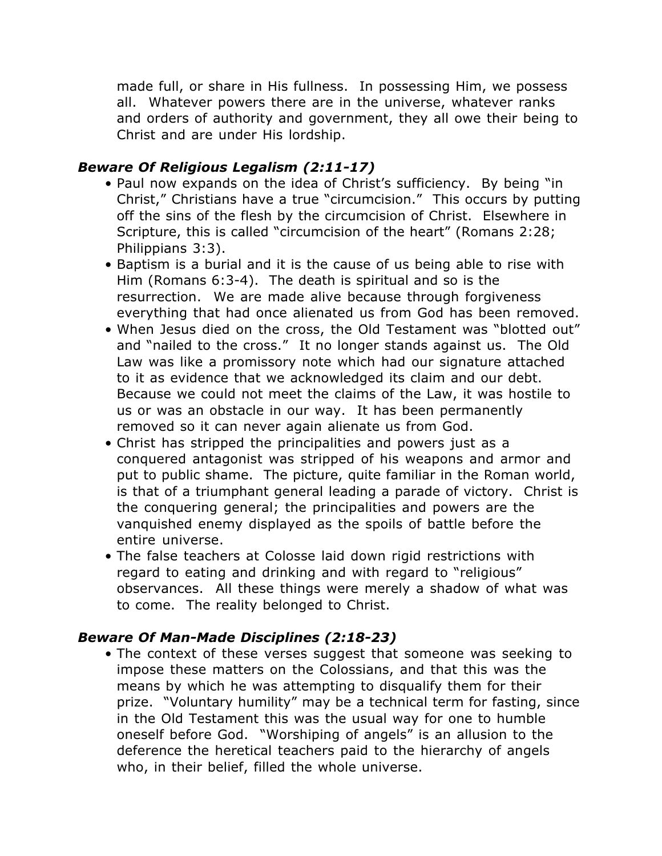made full, or share in His fullness. In possessing Him, we possess all. Whatever powers there are in the universe, whatever ranks and orders of authority and government, they all owe their being to Christ and are under His lordship.

#### *Beware Of Religious Legalism (2:11-17)*

- Paul now expands on the idea of Christ's sufficiency. By being "in Christ," Christians have a true "circumcision." This occurs by putting off the sins of the flesh by the circumcision of Christ. Elsewhere in Scripture, this is called "circumcision of the heart" (Romans 2:28; Philippians 3:3).
- Baptism is a burial and it is the cause of us being able to rise with Him (Romans 6:3-4). The death is spiritual and so is the resurrection. We are made alive because through forgiveness everything that had once alienated us from God has been removed.
- When Jesus died on the cross, the Old Testament was "blotted out" and "nailed to the cross." It no longer stands against us. The Old Law was like a promissory note which had our signature attached to it as evidence that we acknowledged its claim and our debt. Because we could not meet the claims of the Law, it was hostile to us or was an obstacle in our way. It has been permanently removed so it can never again alienate us from God.
- Christ has stripped the principalities and powers just as a conquered antagonist was stripped of his weapons and armor and put to public shame. The picture, quite familiar in the Roman world, is that of a triumphant general leading a parade of victory. Christ is the conquering general; the principalities and powers are the vanquished enemy displayed as the spoils of battle before the entire universe.
- The false teachers at Colosse laid down rigid restrictions with regard to eating and drinking and with regard to "religious" observances. All these things were merely a shadow of what was to come. The reality belonged to Christ.

# *Beware Of Man-Made Disciplines (2:18-23)*

• The context of these verses suggest that someone was seeking to impose these matters on the Colossians, and that this was the means by which he was attempting to disqualify them for their prize. "Voluntary humility" may be a technical term for fasting, since in the Old Testament this was the usual way for one to humble oneself before God. "Worshiping of angels" is an allusion to the deference the heretical teachers paid to the hierarchy of angels who, in their belief, filled the whole universe.